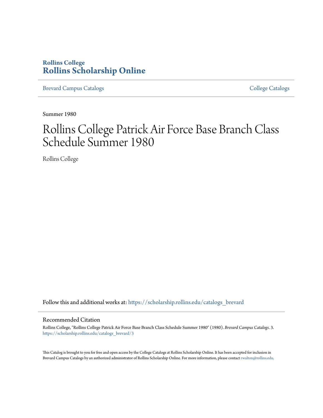## **Rollins College [Rollins Scholarship Online](https://scholarship.rollins.edu?utm_source=scholarship.rollins.edu%2Fcatalogs_brevard%2F3&utm_medium=PDF&utm_campaign=PDFCoverPages)**

[Brevard Campus Catalogs](https://scholarship.rollins.edu/catalogs_brevard?utm_source=scholarship.rollins.edu%2Fcatalogs_brevard%2F3&utm_medium=PDF&utm_campaign=PDFCoverPages) **[College Catalogs](https://scholarship.rollins.edu/catalogs?utm_source=scholarship.rollins.edu%2Fcatalogs_brevard%2F3&utm_medium=PDF&utm_campaign=PDFCoverPages)** College Catalogs **College Catalogs** 

Summer 1980

# Rollins College Patrick Air Force Base Branch Class Schedule Summer 1980

Rollins College

Follow this and additional works at: [https://scholarship.rollins.edu/catalogs\\_brevard](https://scholarship.rollins.edu/catalogs_brevard?utm_source=scholarship.rollins.edu%2Fcatalogs_brevard%2F3&utm_medium=PDF&utm_campaign=PDFCoverPages)

### Recommended Citation

Rollins College, "Rollins College Patrick Air Force Base Branch Class Schedule Summer 1980" (1980). *Brevard Campus Catalogs*. 3. [https://scholarship.rollins.edu/catalogs\\_brevard/3](https://scholarship.rollins.edu/catalogs_brevard/3?utm_source=scholarship.rollins.edu%2Fcatalogs_brevard%2F3&utm_medium=PDF&utm_campaign=PDFCoverPages)

This Catalog is brought to you for free and open access by the College Catalogs at Rollins Scholarship Online. It has been accepted for inclusion in Brevard Campus Catalogs by an authorized administrator of Rollins Scholarship Online. For more information, please contact [rwalton@rollins.edu.](mailto:rwalton@rollins.edu)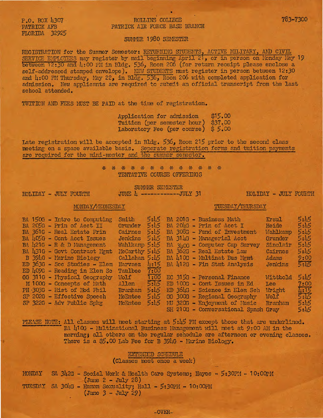P.O. BOX 4307<br>PATRICK AFB FLORIDA 32925

### ROLLINS COLLEGE PATRICK AIR FORCE BASE BRANCH

### 783-7300

### SUMMER 1980 SEMESTER

REGISTRATION for the Summer Semester: RETURNING STUDENTS, ACTIVE MILITARY, AND CIVIL SERVICE EMPLOYEES may register by mail beginning April 21, or in person on Monday May 19 between 12:30 and 4:00 PM in Bldg. 536, Room 206 (for return receipt please enclose a. self-addressed stamped envelope). NEW STUDENTS must register in person between 12:30 and 4:00 PM Thursday, May 22, in Bldg. 536, Room 206 with completed application for admission. New applicants are required to submit an official transcript from the last school attended.

TUITION AND FEES MUST BE PAID at the time of registration.

Application for admission \$15.00 TUition (per semester hour) \$37.00 Laboratory Fee (per course) \$ 5.00

Late registration will be accepted in Bldg. 536, Room 215 prior to the second class meeting on a space available basis. Separate registration forms and tuition payments are required for the mini-mester and the summer semester.

\* \* \* \* \* \* \* \* \* \* \* \* \* TENTATIVE COURSE OFFERINGS

HOLIDAY - JULY FOURTH JUNE 4 ------------JULY 31 · HOLIDAY - JULY FOURTH

SUMMER SEMESTER

MONDAY/WEDNESDAY TUESDAY/THURSDAY

| BA 150G - Intro to Computing | Smith   | 5:15 |  | BA 201G - Business Math                         | Krsul    | 5:45 |
|------------------------------|---------|------|--|-------------------------------------------------|----------|------|
| BA 205G - Prin of Acct II    | Grunder | 5:45 |  | BA 204G - Prin of Acct I                        | Heide    | 5:15 |
| BA 361G - Real Estate Prin   | Cairnes | 5:45 |  | BA 308G - Fund of Investment                    | Wahlkamp | 5:45 |
| BA 405G - Cont Acct Issues   | Jenkins | 5:45 |  | BA 314G - Managerial Acct                       | Grunder  | 5:15 |
| $BA$ 421G - R & D Management |         |      |  | Wahlkamp $5:45$ BA $3h0G$ - Computer Cap Survey | Sinclair | 5:45 |
| BA 431G - Govt Contract Mgmt |         |      |  | McCarthy $5:45$ BA 362G - Real Estate Law       | Cairnes  | 5:45 |
| B 394G - Marine Biology      |         |      |  | Callahan 5:45 BA 410G - Multinat Bus Mgmt       | Adams    | 9:00 |
| ED 363G - Soc Studies - Elem | Narvaez |      |  | $4:15$ BA $412G$ - Fin Stmt Analysis            | Jenkins  | 5:15 |
| ED 409G - Reading in Elem Sc | Taulbee | 7:00 |  |                                                 |          |      |
| GG 311G - Physical Geography | Wolf    | 1:00 |  | EC 315G - Personal Finance                      | Wittbold | 5:45 |
| M 100G - Concepts of Math    | Allen   | 5:15 |  | ED 100G - Cont Issues in Ed                     | Lee      | 7:00 |
| PH 303G - Hist of Mod Phil   | Branham | 5:45 |  | ED 364G - Science in Elem Sch                   | Wright   |      |
| SP 202G - Effective Speech   | McEntee | 5:45 |  | GG 300G - Regional Geography                    | Wolf     | 舞    |
| SP 322G - Adv Public Spkg    | McEntee | 5:45 |  | MU 320G - Enjoyment of Music                    | Branham  | 5:45 |
|                              |         |      |  | SH 210G - Conversational Spnsh                  | Gray     | 5:45 |

PIEASE NOTE: All classes will meet starting at 5:45 PM except those that are underlined. BA  $\mu$ 10G - Multinational Business Management will meet at 9:00 AM in the morning; all others on the regular schedule are afternoon or evening classes. There is a \$5.00 Lab Fee for B 394G - Marine Biology.

### EXTENDED SCHEDULE

{Classes meet once a week)

| MONDAY                                                     |  |                                                         |                                      |  |  |  |  | SA 342G - Social Work & Health Care Systems; Hayes - 5:30PM - 10:00PM |
|------------------------------------------------------------|--|---------------------------------------------------------|--------------------------------------|--|--|--|--|-----------------------------------------------------------------------|
| TUESDAY SA 304G - Human Sexuality; Hall - 5:30PM - 10:00PM |  | $\lceil \text{June } 2 - \text{July } 28 \rceil \rceil$ | $\text{(June } 3 - \text{July } 29)$ |  |  |  |  |                                                                       |